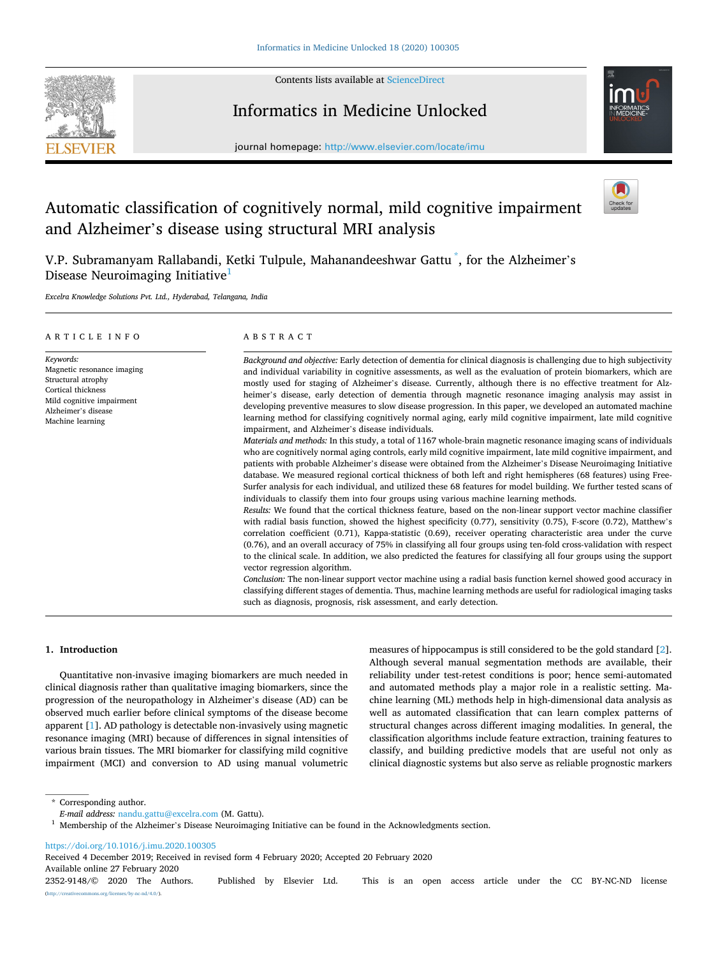

Contents lists available at [ScienceDirect](www.sciencedirect.com/science/journal/23529148)

# Informatics in Medicine Unlocked



journal homepage: [http://www.elsevier.com/locate/imu](https://http://www.elsevier.com/locate/imu) 

# Automatic classification of cognitively normal, mild cognitive impairment and Alzheimer's disease using structural MRI analysis



V.P. Subramanyam Rallabandi, Ketki Tulpule, Mahanandeeshwar Gattu<sup>\*</sup>, for the Alzheimer's Disease Neuroimaging Initiative<sup>1</sup>

*Excelra Knowledge Solutions Pvt. Ltd., Hyderabad, Telangana, India* 

| ARTICLE INFO                                                                                                                                                | ABSTRACT                                                                                                                                                                                                                                                                                                                                                                                                                                                                                                                                                                                                                                                                                                                                                                                                                                                                                                                                                                                                                                                                                                                                                                                                                                                                                                                                                                                                                                                                                                                                                                                                                                                                                                                                                                                                                                                                                                                                                                                                                                                                                                                                                                                                                                                                                                                                                                                                  |  |  |  |  |
|-------------------------------------------------------------------------------------------------------------------------------------------------------------|-----------------------------------------------------------------------------------------------------------------------------------------------------------------------------------------------------------------------------------------------------------------------------------------------------------------------------------------------------------------------------------------------------------------------------------------------------------------------------------------------------------------------------------------------------------------------------------------------------------------------------------------------------------------------------------------------------------------------------------------------------------------------------------------------------------------------------------------------------------------------------------------------------------------------------------------------------------------------------------------------------------------------------------------------------------------------------------------------------------------------------------------------------------------------------------------------------------------------------------------------------------------------------------------------------------------------------------------------------------------------------------------------------------------------------------------------------------------------------------------------------------------------------------------------------------------------------------------------------------------------------------------------------------------------------------------------------------------------------------------------------------------------------------------------------------------------------------------------------------------------------------------------------------------------------------------------------------------------------------------------------------------------------------------------------------------------------------------------------------------------------------------------------------------------------------------------------------------------------------------------------------------------------------------------------------------------------------------------------------------------------------------------------------|--|--|--|--|
| Keywords:<br>Magnetic resonance imaging<br>Structural atrophy<br>Cortical thickness<br>Mild cognitive impairment<br>Alzheimer's disease<br>Machine learning | Background and objective: Early detection of dementia for clinical diagnosis is challenging due to high subjectivity<br>and individual variability in cognitive assessments, as well as the evaluation of protein biomarkers, which are<br>mostly used for staging of Alzheimer's disease. Currently, although there is no effective treatment for Alz-<br>heimer's disease, early detection of dementia through magnetic resonance imaging analysis may assist in<br>developing preventive measures to slow disease progression. In this paper, we developed an automated machine<br>learning method for classifying cognitively normal aging, early mild cognitive impairment, late mild cognitive<br>impairment, and Alzheimer's disease individuals.<br>Materials and methods: In this study, a total of 1167 whole-brain magnetic resonance imaging scans of individuals<br>who are cognitively normal aging controls, early mild cognitive impairment, late mild cognitive impairment, and<br>patients with probable Alzheimer's disease were obtained from the Alzheimer's Disease Neuroimaging Initiative<br>database. We measured regional cortical thickness of both left and right hemispheres (68 features) using Free-<br>Surfer analysis for each individual, and utilized these 68 features for model building. We further tested scans of<br>individuals to classify them into four groups using various machine learning methods.<br>Results: We found that the cortical thickness feature, based on the non-linear support vector machine classifier<br>with radial basis function, showed the highest specificity (0.77), sensitivity (0.75), F-score (0.72), Matthew's<br>correlation coefficient (0.71), Kappa-statistic (0.69), receiver operating characteristic area under the curve<br>(0.76), and an overall accuracy of 75% in classifying all four groups using ten-fold cross-validation with respect<br>to the clinical scale. In addition, we also predicted the features for classifying all four groups using the support<br>vector regression algorithm.<br>Conclusion: The non-linear support vector machine using a radial basis function kernel showed good accuracy in<br>classifying different stages of dementia. Thus, machine learning methods are useful for radiological imaging tasks<br>such as diagnosis, prognosis, risk assessment, and early detection. |  |  |  |  |

# **1. Introduction**

Quantitative non-invasive imaging biomarkers are much needed in clinical diagnosis rather than qualitative imaging biomarkers, since the progression of the neuropathology in Alzheimer's disease (AD) can be observed much earlier before clinical symptoms of the disease become apparent [\[1\]](#page-5-0). AD pathology is detectable non-invasively using magnetic resonance imaging (MRI) because of differences in signal intensities of various brain tissues. The MRI biomarker for classifying mild cognitive impairment (MCI) and conversion to AD using manual volumetric measures of hippocampus is still considered to be the gold standard [[2](#page-5-0)]. Although several manual segmentation methods are available, their reliability under test-retest conditions is poor; hence semi-automated and automated methods play a major role in a realistic setting. Machine learning (ML) methods help in high-dimensional data analysis as well as automated classification that can learn complex patterns of structural changes across different imaging modalities. In general, the classification algorithms include feature extraction, training features to classify, and building predictive models that are useful not only as clinical diagnostic systems but also serve as reliable prognostic markers

<https://doi.org/10.1016/j.imu.2020.100305>

Available online 27 February 2020 2352-9148/© 2020 The Authors. Published by Elsevier Ltd. This is an open access article under the CC BY-NC-ND license Received 4 December 2019; Received in revised form 4 February 2020; Accepted 20 February 2020

[\(http://creativecommons.org/licenses/by-nc-nd/4.0/\)](http://creativecommons.org/licenses/by-nc-nd/4.0/).

<sup>\*</sup> Corresponding author.<br>E-mail address: nandu.gattu@excelra.com (M. Gattu).

<sup>&</sup>lt;sup>1</sup> Membership of the Alzheimer's Disease Neuroimaging Initiative can be found in the Acknowledgments section.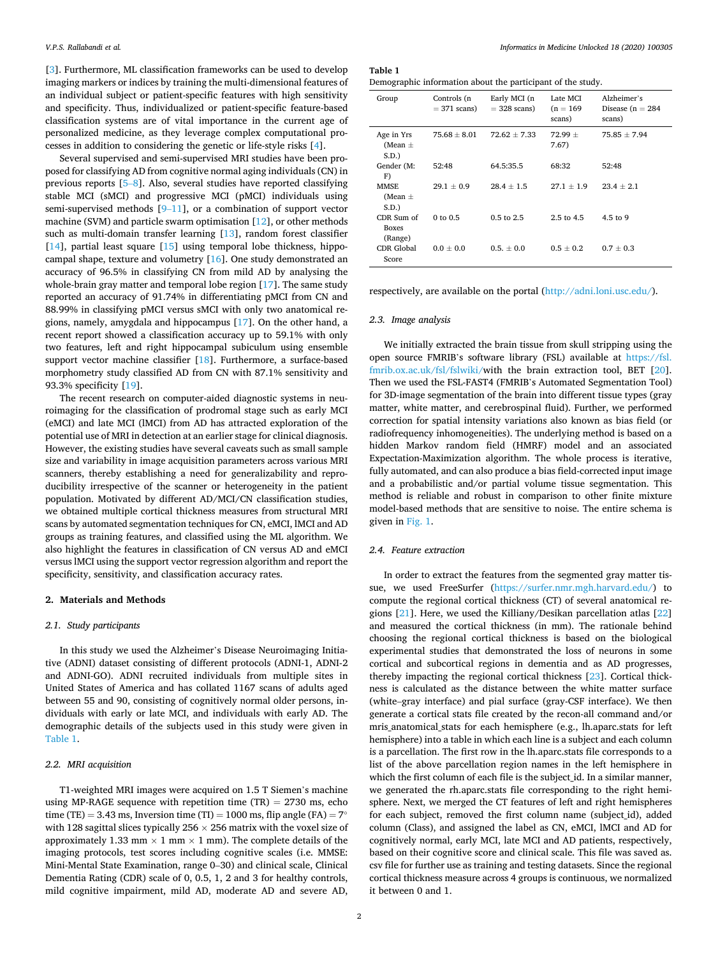[[3](#page-5-0)]. Furthermore, ML classification frameworks can be used to develop imaging markers or indices by training the multi-dimensional features of an individual subject or patient-specific features with high sensitivity and specificity. Thus, individualized or patient-specific feature-based classification systems are of vital importance in the current age of personalized medicine, as they leverage complex computational processes in addition to considering the genetic or life-style risks [[4\]](#page-5-0).

Several supervised and semi-supervised MRI studies have been proposed for classifying AD from cognitive normal aging individuals (CN) in previous reports [5–[8\]](#page-5-0). Also, several studies have reported classifying stable MCI (sMCI) and progressive MCI (pMCI) individuals using semi-supervised methods [9–[11](#page-5-0)], or a combination of support vector machine (SVM) and particle swarm optimisation [\[12](#page-5-0)], or other methods such as multi-domain transfer learning [[13\]](#page-5-0), random forest classifier [[14\]](#page-5-0), partial least square [[15\]](#page-5-0) using temporal lobe thickness, hippocampal shape, texture and volumetry [[16\]](#page-5-0). One study demonstrated an accuracy of 96.5% in classifying CN from mild AD by analysing the whole-brain gray matter and temporal lobe region [\[17](#page-5-0)]. The same study reported an accuracy of 91.74% in differentiating pMCI from CN and 88.99% in classifying pMCI versus sMCI with only two anatomical regions, namely, amygdala and hippocampus [\[17](#page-5-0)]. On the other hand, a recent report showed a classification accuracy up to 59.1% with only two features, left and right hippocampal subiculum using ensemble support vector machine classifier [[18\]](#page-5-0). Furthermore, a surface-based morphometry study classified AD from CN with 87.1% sensitivity and 93.3% specificity [\[19](#page-5-0)].

The recent research on computer-aided diagnostic systems in neuroimaging for the classification of prodromal stage such as early MCI (eMCI) and late MCI (lMCI) from AD has attracted exploration of the potential use of MRI in detection at an earlier stage for clinical diagnosis. However, the existing studies have several caveats such as small sample size and variability in image acquisition parameters across various MRI scanners, thereby establishing a need for generalizability and reproducibility irrespective of the scanner or heterogeneity in the patient population. Motivated by different AD/MCI/CN classification studies, we obtained multiple cortical thickness measures from structural MRI scans by automated segmentation techniques for CN, eMCI, lMCI and AD groups as training features, and classified using the ML algorithm. We also highlight the features in classification of CN versus AD and eMCI versus lMCI using the support vector regression algorithm and report the specificity, sensitivity, and classification accuracy rates.

## **2. Materials and Methods**

## *2.1. Study participants*

In this study we used the Alzheimer's Disease Neuroimaging Initiative (ADNI) dataset consisting of different protocols (ADNI-1, ADNI-2 and ADNI-GO). ADNI recruited individuals from multiple sites in United States of America and has collated 1167 scans of adults aged between 55 and 90, consisting of cognitively normal older persons, individuals with early or late MCI, and individuals with early AD. The demographic details of the subjects used in this study were given in Table 1.

## *2.2. MRI acquisition*

T1-weighted MRI images were acquired on 1.5 T Siemen's machine using MP-RAGE sequence with repetition time  $(TR) = 2730$  ms, echo time (TE) = 3.43 ms, Inversion time (TI) = 1000 ms, flip angle (FA) =  $7^\circ$ with 128 sagittal slices typically 256  $\times$  256 matrix with the voxel size of approximately 1.33 mm  $\times$  1 mm  $\times$  1 mm). The complete details of the imaging protocols, test scores including cognitive scales (i.e. MMSE: Mini-Mental State Examination, range 0–30) and clinical scale, Clinical Dementia Rating (CDR) scale of 0, 0.5, 1, 2 and 3 for healthy controls, mild cognitive impairment, mild AD, moderate AD and severe AD,

**Table 1** 

| Demographic information about the participant of the study. |  |  |
|-------------------------------------------------------------|--|--|
|                                                             |  |  |

| Group                                 | Controls (n<br>$=$ 371 scans) | Early MCI (n<br>$=$ 328 scans) | Late MCI<br>$(n = 169)$<br>scans) | Alzheimer's<br>Disease $(n = 284)$<br>scans) |
|---------------------------------------|-------------------------------|--------------------------------|-----------------------------------|----------------------------------------------|
| Age in Yrs<br>(Mean $\pm$<br>S.D.     | $75.68 \pm 8.01$              | $72.62 + 7.33$                 | $72.99 +$<br>7.67)                | $75.85 + 7.94$                               |
| Gender (M:<br>F)                      | 52:48                         | 64.5:35.5                      | 68:32                             | 52:48                                        |
| <b>MMSE</b><br>(Mean $\pm$<br>S.D.)   | $29.1 + 0.9$                  | $28.4 + 1.5$                   | $27.1 + 1.9$                      | $23.4 \pm 2.1$                               |
| CDR Sum of<br><b>Boxes</b><br>(Range) | $0$ to $0.5$                  | $0.5$ to $2.5$                 | 2.5 to 4.5                        | $4.5 \text{ to } 9$                          |
| CDR Global<br>Score                   | $0.0 + 0.0$                   | $0.5 + 0.0$                    | $0.5 + 0.2$                       | $0.7 + 0.3$                                  |

respectively, are available on the portal [\(http://adni.loni.usc.edu/\)](http://adni.loni.usc.edu/).

# *2.3. Image analysis*

We initially extracted the brain tissue from skull stripping using the open source FMRIB's software library (FSL) available at [https://fsl.](https://fsl.fmrib.ox.ac.uk/fsl/fslwiki/)  [fmrib.ox.ac.uk/fsl/fslwiki/w](https://fsl.fmrib.ox.ac.uk/fsl/fslwiki/)ith the brain extraction tool, BET [\[20](#page-5-0)]. Then we used the FSL-FAST4 (FMRIB's Automated Segmentation Tool) for 3D-image segmentation of the brain into different tissue types (gray matter, white matter, and cerebrospinal fluid). Further, we performed correction for spatial intensity variations also known as bias field (or radiofrequency inhomogeneities). The underlying method is based on a hidden Markov random field (HMRF) model and an associated Expectation-Maximization algorithm. The whole process is iterative, fully automated, and can also produce a bias field-corrected input image and a probabilistic and/or partial volume tissue segmentation. This method is reliable and robust in comparison to other finite mixture model-based methods that are sensitive to noise. The entire schema is given in [Fig. 1.](#page-2-0)

# *2.4. Feature extraction*

In order to extract the features from the segmented gray matter tissue, we used FreeSurfer [\(https://surfer.nmr.mgh.harvard.edu/\)](https://surfer.nmr.mgh.harvard.edu/) to compute the regional cortical thickness (CT) of several anatomical regions [\[21](#page-5-0)]. Here, we used the Killiany/Desikan parcellation atlas [\[22](#page-5-0)] and measured the cortical thickness (in mm). The rationale behind choosing the regional cortical thickness is based on the biological experimental studies that demonstrated the loss of neurons in some cortical and subcortical regions in dementia and as AD progresses, thereby impacting the regional cortical thickness [\[23](#page-5-0)]. Cortical thickness is calculated as the distance between the white matter surface (white–gray interface) and pial surface (gray-CSF interface). We then generate a cortical stats file created by the recon-all command and/or mris\_anatomical\_stats for each hemisphere (e.g., lh.aparc.stats for left hemisphere) into a table in which each line is a subject and each column is a parcellation. The first row in the lh.aparc.stats file corresponds to a list of the above parcellation region names in the left hemisphere in which the first column of each file is the subject\_id. In a similar manner, we generated the rh.aparc.stats file corresponding to the right hemisphere. Next, we merged the CT features of left and right hemispheres for each subject, removed the first column name (subject\_id), added column (Class), and assigned the label as CN, eMCI, lMCI and AD for cognitively normal, early MCI, late MCI and AD patients, respectively, based on their cognitive score and clinical scale. This file was saved as. csv file for further use as training and testing datasets. Since the regional cortical thickness measure across 4 groups is continuous, we normalized it between 0 and 1.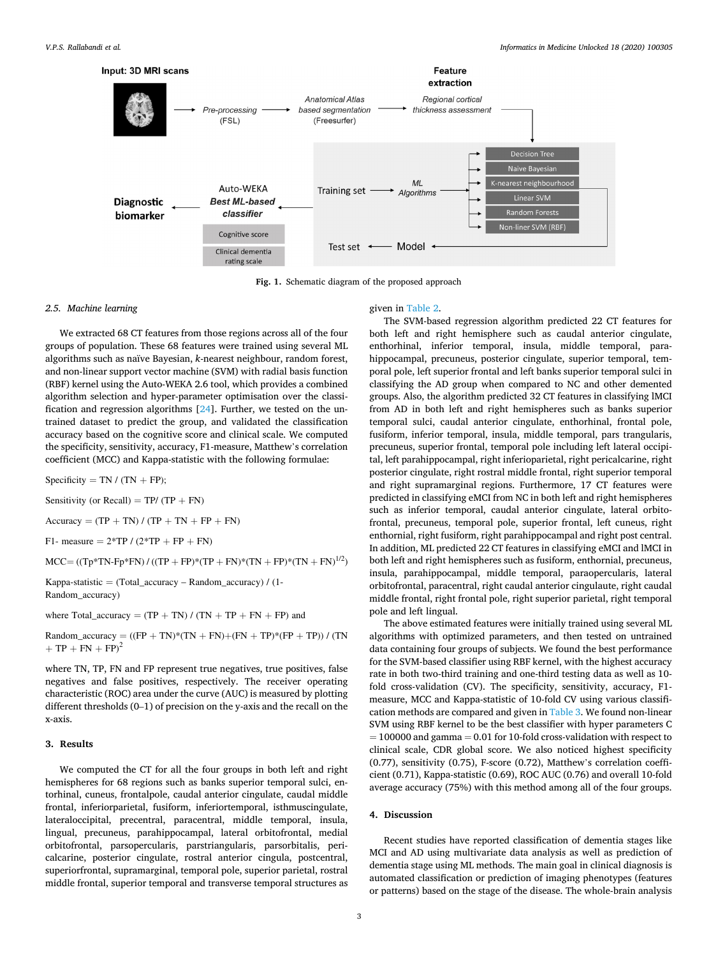<span id="page-2-0"></span>

**Fig. 1.** Schematic diagram of the proposed approach

#### *2.5. Machine learning*

We extracted 68 CT features from those regions across all of the four groups of population. These 68 features were trained using several ML algorithms such as naïve Bayesian, *k*-nearest neighbour, random forest, and non-linear support vector machine (SVM) with radial basis function (RBF) kernel using the Auto-WEKA 2.6 tool, which provides a combined algorithm selection and hyper-parameter optimisation over the classification and regression algorithms [[24\]](#page-5-0). Further, we tested on the untrained dataset to predict the group, and validated the classification accuracy based on the cognitive score and clinical scale. We computed the specificity, sensitivity, accuracy, F1-measure, Matthew's correlation coefficient (MCC) and Kappa-statistic with the following formulae:

Specificity = TN / (TN + FP);

Sensitivity (or Recall) =  $TP/(TP + FN)$ 

Accuracy =  $(TP + TN) / (TP + TN + FP + FN)$ 

F1- measure =  $2*TP / (2*TP + FP + FN)$ 

 $MCC = ((Tp*TN-Fp*FN) / ((TP + FP)*(TP + FN)*(TN + FP)*(TN + FN)^{1/2})$ 

Kappa-statistic =  $(Total\_accuracy - Random\_accuracy) / (1-$ Random\_accuracy)

where Total\_accuracy =  $(TP + TN) / (TN + TP + FN + FP)$  and

Random\_accuracy =  $((FP + TN)*(TN + FN)+(FN + TP)*(FP + TP))$  / (TN  $+ TP + FN + FP)^2$ 

where TN, TP, FN and FP represent true negatives, true positives, false negatives and false positives, respectively. The receiver operating characteristic (ROC) area under the curve (AUC) is measured by plotting different thresholds (0–1) of precision on the y-axis and the recall on the x-axis.

# **3. Results**

We computed the CT for all the four groups in both left and right hemispheres for 68 regions such as banks superior temporal sulci, entorhinal, cuneus, frontalpole, caudal anterior cingulate, caudal middle frontal, inferiorparietal, fusiform, inferiortemporal, isthmuscingulate, lateraloccipital, precentral, paracentral, middle temporal, insula, lingual, precuneus, parahippocampal, lateral orbitofrontal, medial orbitofrontal, parsopercularis, parstriangularis, parsorbitalis, pericalcarine, posterior cingulate, rostral anterior cingula, postcentral, superiorfrontal, supramarginal, temporal pole, superior parietal, rostral middle frontal, superior temporal and transverse temporal structures as

#### given in [Table 2.](#page-3-0)

The SVM-based regression algorithm predicted 22 CT features for both left and right hemisphere such as caudal anterior cingulate, enthorhinal, inferior temporal, insula, middle temporal, parahippocampal, precuneus, posterior cingulate, superior temporal, temporal pole, left superior frontal and left banks superior temporal sulci in classifying the AD group when compared to NC and other demented groups. Also, the algorithm predicted 32 CT features in classifying lMCI from AD in both left and right hemispheres such as banks superior temporal sulci, caudal anterior cingulate, enthorhinal, frontal pole, fusiform, inferior temporal, insula, middle temporal, pars trangularis, precuneus, superior frontal, temporal pole including left lateral occipital, left parahippocampal, right inferioparietal, right pericalcarine, right posterior cingulate, right rostral middle frontal, right superior temporal and right supramarginal regions. Furthermore, 17 CT features were predicted in classifying eMCI from NC in both left and right hemispheres such as inferior temporal, caudal anterior cingulate, lateral orbitofrontal, precuneus, temporal pole, superior frontal, left cuneus, right enthornial, right fusiform, right parahippocampal and right post central. In addition, ML predicted 22 CT features in classifying eMCI and lMCI in both left and right hemispheres such as fusiform, enthornial, precuneus, insula, parahippocampal, middle temporal, paraopercularis, lateral orbitofrontal, paracentral, right caudal anterior cingulaute, right caudal middle frontal, right frontal pole, right superior parietal, right temporal pole and left lingual.

The above estimated features were initially trained using several ML algorithms with optimized parameters, and then tested on untrained data containing four groups of subjects. We found the best performance for the SVM-based classifier using RBF kernel, with the highest accuracy rate in both two-third training and one-third testing data as well as 10 fold cross-validation (CV). The specificity, sensitivity, accuracy, F1 measure, MCC and Kappa-statistic of 10-fold CV using various classification methods are compared and given in [Table 3.](#page-4-0) We found non-linear SVM using RBF kernel to be the best classifier with hyper parameters C  $= 100000$  and gamma  $= 0.01$  for 10-fold cross-validation with respect to clinical scale, CDR global score. We also noticed highest specificity (0.77), sensitivity (0.75), F-score (0.72), Matthew's correlation coefficient (0.71), Kappa-statistic (0.69), ROC AUC (0.76) and overall 10-fold average accuracy (75%) with this method among all of the four groups.

#### **4. Discussion**

Recent studies have reported classification of dementia stages like MCI and AD using multivariate data analysis as well as prediction of dementia stage using ML methods. The main goal in clinical diagnosis is automated classification or prediction of imaging phenotypes (features or patterns) based on the stage of the disease. The whole-brain analysis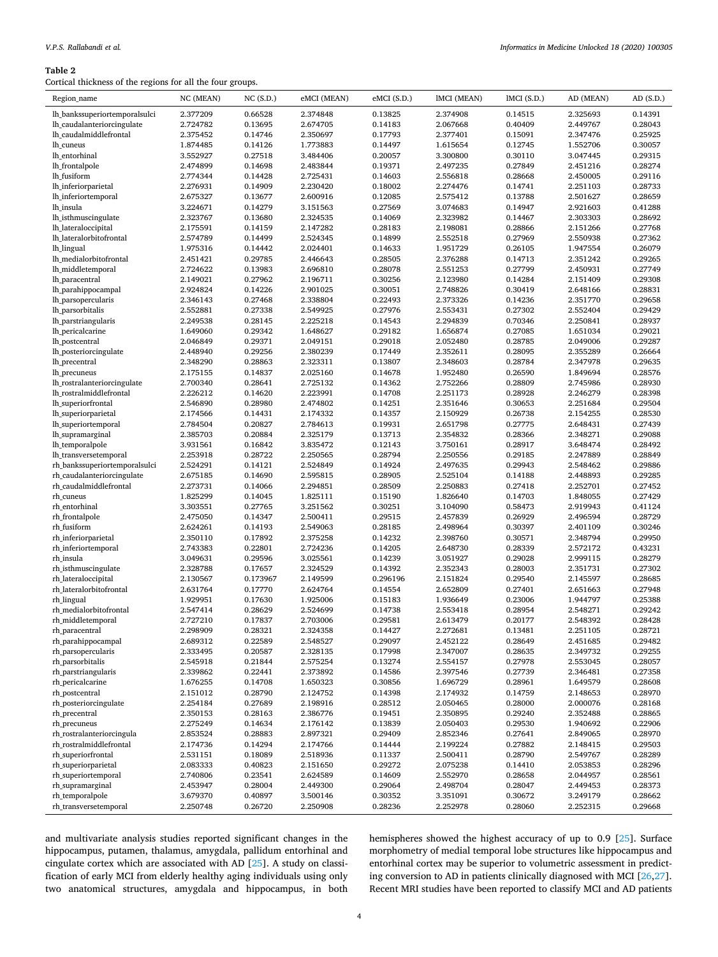## <span id="page-3-0"></span>**Table 2**

l,

Cortical thickness of the regions for all the four groups.

| Region name                         | NC (MEAN)            | NC(S.D.)           | eMCI (MEAN)          | eMCI (S.D.)        | IMCI (MEAN)          | IMCI(S.D.)         | AD (MEAN)            | AD(S.D.)           |
|-------------------------------------|----------------------|--------------------|----------------------|--------------------|----------------------|--------------------|----------------------|--------------------|
| lh_bankssuperiortemporalsulci       | 2.377209             | 0.66528            | 2.374848             | 0.13825            | 2.374908             | 0.14515            | 2.325693             | 0.14391            |
| lh caudalanteriorcingulate          | 2.724782             | 0.13695            | 2.674705             | 0.14183            | 2.067668             | 0.40409            | 2.449767             | 0.28043            |
| lh caudalmiddlefrontal              | 2.375452             | 0.14746            | 2.350697             | 0.17793            | 2.377401             | 0.15091            | 2.347476             | 0.25925            |
| lh cuneus                           | 1.874485             | 0.14126            | 1.773883             | 0.14497            | 1.615654             | 0.12745            | 1.552706             | 0.30057            |
| lh entorhinal                       | 3.552927             | 0.27518            | 3.484406             | 0.20057            | 3.300800             | 0.30110            | 3.047445             | 0.29315            |
| lh frontalpole                      | 2.474899             | 0.14698            | 2.483844             | 0.19371            | 2.497235             | 0.27849            | 2.451216             | 0.28274            |
| lh fusiform                         | 2.774344             | 0.14428            | 2.725431             | 0.14603            | 2.556818             | 0.28668            | 2.450005             | 0.29116            |
| lh inferiorparietal                 | 2.276931             | 0.14909            | 2.230420             | 0.18002            | 2.274476             | 0.14741            | 2.251103             | 0.28733            |
| lh_inferiortemporal                 | 2.675327             | 0.13677            | 2.600916             | 0.12085            | 2.575412             | 0.13788            | 2.501627             | 0.28659            |
| lh insula                           | 3.224671             | 0.14279            | 3.151563             | 0.27569            | 3.074683             | 0.14947            | 2.921603             | 0.41288            |
| lh isthmuscingulate                 | 2.323767             | 0.13680            | 2.324535             | 0.14069            | 2.323982             | 0.14467            | 2.303303             | 0.28692            |
| lh lateraloccipital                 | 2.175591             | 0.14159            | 2.147282             | 0.28183            | 2.198081             | 0.28866            | 2.151266             | 0.27768            |
| lh lateralorbitofrontal             | 2.574789             | 0.14499            | 2.524345             | 0.14899            | 2.552518             | 0.27969            | 2.550938             | 0.27362            |
| lh lingual                          | 1.975316             | 0.14442            | 2.024401             | 0.14633            | 1.951729             | 0.26105            | 1.947554             | 0.26079            |
| lh_medialorbitofrontal              | 2.451421             | 0.29785            | 2.446643             | 0.28505            | 2.376288             | 0.14713            | 2.351242             | 0.29265            |
| lh middletemporal                   | 2.724622             | 0.13983            | 2.696810             | 0.28078            | 2.551253             | 0.27799            | 2.450931             | 0.27749            |
| lh paracentral                      | 2.149021             | 0.27962            | 2.196711             | 0.30256            | 2.123980             | 0.14284            | 2.151409             | 0.29308            |
| lh_parahippocampal                  | 2.924824             | 0.14226            | 2.901025             | 0.30051            | 2.748826             | 0.30419            | 2.648166             | 0.28831            |
| lh_parsopercularis                  | 2.346143             | 0.27468            | 2.338804             | 0.22493            | 2.373326             | 0.14236            | 2.351770             | 0.29658            |
| lh parsorbitalis                    | 2.552881             | 0.27338            | 2.549925             | 0.27976            | 2.553431             | 0.27302            | 2.552404             | 0.29429            |
| lh_parstriangularis                 | 2.249538             | 0.28145            | 2.225218             | 0.14543            | 2.294839             | 0.70346            | 2.250841             | 0.28937            |
| lh pericalcarine                    | 1.649060             | 0.29342            | 1.648627             | 0.29182            | 1.656874             | 0.27085            | 1.651034             | 0.29021            |
| lh postcentral                      | 2.046849             | 0.29371            | 2.049151             | 0.29018            | 2.052480             | 0.28785            | 2.049006             | 0.29287            |
| lh_posteriorcingulate               | 2.448940             | 0.29256            | 2.380239             | 0.17449            | 2.352611             | 0.28095            | 2.355289             | 0.26664            |
| lh precentral                       | 2.348290             | 0.28863            | 2.323311             | 0.13807            | 2.348603             | 0.28784            | 2.347978             | 0.29635            |
| lh precuneus                        | 2.175155             | 0.14837            | 2.025160             | 0.14678            | 1.952480             | 0.26590            | 1.849694             | 0.28576            |
| lh rostralanteriorcingulate         | 2.700340             | 0.28641            | 2.725132             | 0.14362            | 2.752266             | 0.28809            | 2.745986             | 0.28930            |
| lh rostralmiddlefrontal             | 2.226212             | 0.14620            | 2.223991             | 0.14708            | 2.251173             | 0.28928            | 2.246279             | 0.28398            |
| lh superiorfrontal                  | 2.546890             | 0.28980            | 2.474802             | 0.14251            | 2.351646             | 0.30653            | 2.251684             | 0.29504            |
| lh_superiorparietal                 | 2.174566             | 0.14431            | 2.174332             | 0.14357            | 2.150929             | 0.26738            | 2.154255             | 0.28530            |
| lh superiortemporal                 | 2.784504             | 0.20827            | 2.784613             | 0.19931            | 2.651798             | 0.27775            | 2.648431             | 0.27439            |
| lh_supramarginal                    | 2.385703             | 0.20884            | 2.325179             | 0.13713            | 2.354832             | 0.28366            | 2.348271             | 0.29088            |
| lh_temporalpole                     | 3.931561             | 0.16842            | 3.835472             | 0.12143            | 3.750161             | 0.28917            | 3.648474             | 0.28492            |
| lh transversetemporal               | 2.253918             | 0.28722            | 2.250565             | 0.28794            | 2.250556             | 0.29185            | 2.247889             | 0.28849            |
| rh_bankssuperiortemporalsulci       | 2.524291             | 0.14121            | 2.524849             | 0.14924            | 2.497635             | 0.29943            | 2.548462             | 0.29886            |
| rh caudalanteriorcingulate          | 2.675185             | 0.14690            | 2.595815             | 0.28905            | 2.525104             | 0.14188            | 2.448893             | 0.29285            |
| rh caudalmiddlefrontal<br>rh cuneus | 2.273731<br>1.825299 | 0.14066<br>0.14045 | 2.294851<br>1.825111 | 0.28509<br>0.15190 | 2.250883<br>1.826640 | 0.27418<br>0.14703 | 2.252701<br>1.848055 | 0.27452<br>0.27429 |
| rh entorhinal                       | 3.303551             | 0.27765            | 3.251562             | 0.30251            | 3.104090             | 0.58473            | 2.919943             | 0.41124            |
| rh_frontalpole                      | 2.475050             | 0.14347            | 2.500411             | 0.29515            | 2.457839             | 0.26929            | 2.496594             | 0.28729            |
| rh fusiform                         | 2.624261             | 0.14193            | 2.549063             | 0.28185            | 2.498964             | 0.30397            | 2.401109             | 0.30246            |
| rh inferiorparietal                 | 2.350110             | 0.17892            | 2.375258             | 0.14232            | 2.398760             | 0.30571            | 2.348794             | 0.29950            |
| rh inferiortemporal                 | 2.743383             | 0.22801            | 2.724236             | 0.14205            | 2.648730             | 0.28339            | 2.572172             | 0.43231            |
| rh_insula                           | 3.049631             | 0.29596            | 3.025561             | 0.14239            | 3.051927             | 0.29028            | 2.999115             | 0.28279            |
| rh isthmuscingulate                 | 2.328788             | 0.17657            | 2.324529             | 0.14392            | 2.352343             | 0.28003            | 2.351731             | 0.27302            |
| rh lateraloccipital                 | 2.130567             | 0.173967           | 2.149599             | 0.296196           | 2.151824             | 0.29540            | 2.145597             | 0.28685            |
| rh lateralorbitofrontal             | 2.631764             | 0.17770            | 2.624764             | 0.14554            | 2.652809             | 0.27401            | 2.651663             | 0.27948            |
| rh_lingual                          | 1.929951             | 0.17630            | 1.925006             | 0.15183            | 1.936649             | 0.23006            | 1.944797             | 0.25388            |
| rh_medialorbitofrontal              | 2.547414             | 0.28629            | 2.524699             | 0.14738            | 2.553418             | 0.28954            | 2.548271             | 0.29242            |
| rh middletemporal                   | 2.727210             | 0.17837            | 2.703006             | 0.29581            | 2.613479             | 0.20177            | 2.548392             | 0.28428            |
| rh_paracentral                      | 2.298909             | 0.28321            | 2.324358             | 0.14427            | 2.272681             | 0.13481            | 2.251105             | 0.28721            |
| rh parahippocampal                  | 2.689312             | 0.22589            | 2.548527             | 0.29097            | 2.452122             | 0.28649            | 2.451685             | 0.29482            |
| rh parsopercularis                  | 2.333495             | 0.20587            | 2.328135             | 0.17998            | 2.347007             | 0.28635            | 2.349732             | 0.29255            |
| rh parsorbitalis                    | 2.545918             | 0.21844            | 2.575254             | 0.13274            | 2.554157             | 0.27978            | 2.553045             | 0.28057            |
| rh parstriangularis                 | 2.339862             | 0.22441            | 2.373892             | 0.14586            | 2.397546             | 0.27739            | 2.346481             | 0.27358            |
| rh pericalcarine                    | 1.676255             | 0.14708            | 1.650323             | 0.30856            | 1.696729             | 0.28961            | 1.649579             | 0.28608            |
| rh postcentral                      | 2.151012             | 0.28790            | 2.124752             | 0.14398            | 2.174932             | 0.14759            | 2.148653             | 0.28970            |
| rh posteriorcingulate               | 2.254184             | 0.27689            | 2.198916             | 0.28512            | 2.050465             | 0.28000            | 2.000076             | 0.28168            |
| rh precentral                       | 2.350153             | 0.28163            | 2.386776             | 0.19451            | 2.350895             | 0.29240            | 2.352488             | 0.28865            |
| rh precuneus                        | 2.275249             | 0.14634            | 2.176142             | 0.13839            | 2.050403             | 0.29530            | 1.940692             | 0.22906            |
| rh rostralanteriorcingula           | 2.853524             | 0.28883            | 2.897321             | 0.29409            | 2.852346             | 0.27641            | 2.849065             | 0.28970            |
| rh rostralmiddlefrontal             | 2.174736             | 0.14294            | 2.174766             | 0.14444            | 2.199224             | 0.27882            | 2.148415             | 0.29503            |
| rh superiorfrontal                  | 2.531151             | 0.18089            | 2.518936             | 0.11337            | 2.500411             | 0.28790            | 2.549767             | 0.28289            |
| rh superiorparietal                 | 2.083333             | 0.40823            | 2.151650             | 0.29272            | 2.075238             | 0.14410            | 2.053853             | 0.28296            |
| rh superiortemporal                 | 2.740806             | 0.23541            | 2.624589             | 0.14609            | 2.552970             | 0.28658            | 2.044957             | 0.28561            |
| rh supramarginal                    | 2.453947             | 0.28004            | 2.449300             | 0.29064            | 2.498704             | 0.28047            | 2.449453             | 0.28373            |
| rh_temporalpole                     | 3.679370             | 0.40897            | 3.500146             | 0.30352            | 3.351091             | 0.30672            | 3.249179             | 0.28662            |
| rh_transversetemporal               | 2.250748             | 0.26720            | 2.250908             | 0.28236            | 2.252978             | 0.28060            | 2.252315             | 0.29668            |

and multivariate analysis studies reported significant changes in the hippocampus, putamen, thalamus, amygdala, pallidum entorhinal and cingulate cortex which are associated with AD [[25\]](#page-5-0). A study on classification of early MCI from elderly healthy aging individuals using only two anatomical structures, amygdala and hippocampus, in both hemispheres showed the highest accuracy of up to 0.9 [[25\]](#page-5-0). Surface morphometry of medial temporal lobe structures like hippocampus and entorhinal cortex may be superior to volumetric assessment in predicting conversion to AD in patients clinically diagnosed with MCI [[26,27](#page-5-0)]. Recent MRI studies have been reported to classify MCI and AD patients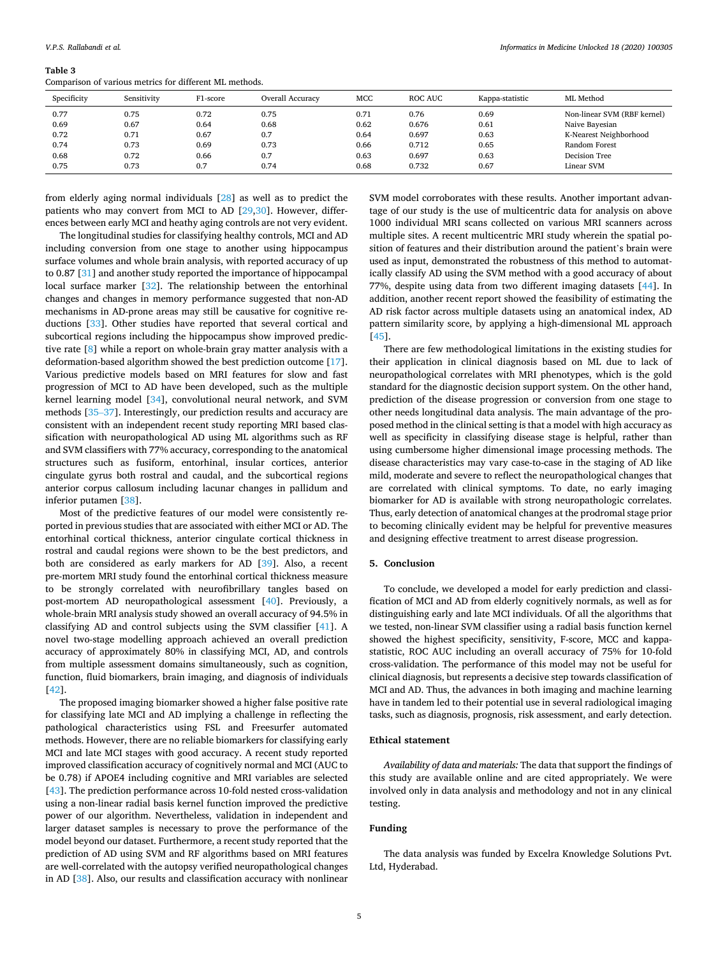#### <span id="page-4-0"></span>**Table 3**

Comparison of various metrics for different ML methods.

| Specificity | Sensitivity | F1-score | <b>Overall Accuracy</b> | <b>MCC</b> | ROC AUC | Kappa-statistic | ML Method                   |
|-------------|-------------|----------|-------------------------|------------|---------|-----------------|-----------------------------|
| 0.77        | 0.75        | 0.72     | 0.75                    | 0.71       | 0.76    | 0.69            | Non-linear SVM (RBF kernel) |
| 0.69        | 0.67        | 0.64     | 0.68                    | 0.62       | 0.676   | 0.61            | Naive Bayesian              |
| 0.72        | 0.71        | 0.67     | 0.7                     | 0.64       | 0.697   | 0.63            | K-Nearest Neighborhood      |
| 0.74        | 0.73        | 0.69     | 0.73                    | 0.66       | 0.712   | 0.65            | Random Forest               |
| 0.68        | 0.72        | 0.66     | 0.7                     | 0.63       | 0.697   | 0.63            | Decision Tree               |
| 0.75        | 0.73        | 0.7      | 0.74                    | 0.68       | 0.732   | 0.67            | <b>Linear SVM</b>           |

from elderly aging normal individuals [\[28](#page-5-0)] as well as to predict the patients who may convert from MCI to AD [[29,30](#page-5-0)]. However, differences between early MCI and heathy aging controls are not very evident.

The longitudinal studies for classifying healthy controls, MCI and AD including conversion from one stage to another using hippocampus surface volumes and whole brain analysis, with reported accuracy of up to 0.87 [[31\]](#page-5-0) and another study reported the importance of hippocampal local surface marker [[32\]](#page-5-0). The relationship between the entorhinal changes and changes in memory performance suggested that non-AD mechanisms in AD-prone areas may still be causative for cognitive reductions [[33\]](#page-5-0). Other studies have reported that several cortical and subcortical regions including the hippocampus show improved predictive rate [[8](#page-5-0)] while a report on whole-brain gray matter analysis with a deformation-based algorithm showed the best prediction outcome [\[17](#page-5-0)]. Various predictive models based on MRI features for slow and fast progression of MCI to AD have been developed, such as the multiple kernel learning model [[34\]](#page-5-0), convolutional neural network, and SVM methods [\[35](#page-6-0)–37]. Interestingly, our prediction results and accuracy are consistent with an independent recent study reporting MRI based classification with neuropathological AD using ML algorithms such as RF and SVM classifiers with 77% accuracy, corresponding to the anatomical structures such as fusiform, entorhinal, insular cortices, anterior cingulate gyrus both rostral and caudal, and the subcortical regions anterior corpus callosum including lacunar changes in pallidum and inferior putamen [\[38](#page-6-0)].

Most of the predictive features of our model were consistently reported in previous studies that are associated with either MCI or AD. The entorhinal cortical thickness, anterior cingulate cortical thickness in rostral and caudal regions were shown to be the best predictors, and both are considered as early markers for AD [[39\]](#page-6-0). Also, a recent pre-mortem MRI study found the entorhinal cortical thickness measure to be strongly correlated with neurofibrillary tangles based on post-mortem AD neuropathological assessment [\[40](#page-6-0)]. Previously, a whole-brain MRI analysis study showed an overall accuracy of 94.5% in classifying AD and control subjects using the SVM classifier [\[41](#page-6-0)]. A novel two-stage modelling approach achieved an overall prediction accuracy of approximately 80% in classifying MCI, AD, and controls from multiple assessment domains simultaneously, such as cognition, function, fluid biomarkers, brain imaging, and diagnosis of individuals [[42\]](#page-6-0).

The proposed imaging biomarker showed a higher false positive rate for classifying late MCI and AD implying a challenge in reflecting the pathological characteristics using FSL and Freesurfer automated methods. However, there are no reliable biomarkers for classifying early MCI and late MCI stages with good accuracy. A recent study reported improved classification accuracy of cognitively normal and MCI (AUC to be 0.78) if APOE4 including cognitive and MRI variables are selected [[43\]](#page-6-0). The prediction performance across 10-fold nested cross-validation using a non-linear radial basis kernel function improved the predictive power of our algorithm. Nevertheless, validation in independent and larger dataset samples is necessary to prove the performance of the model beyond our dataset. Furthermore, a recent study reported that the prediction of AD using SVM and RF algorithms based on MRI features are well-correlated with the autopsy verified neuropathological changes in AD [\[38](#page-6-0)]. Also, our results and classification accuracy with nonlinear

SVM model corroborates with these results. Another important advantage of our study is the use of multicentric data for analysis on above 1000 individual MRI scans collected on various MRI scanners across multiple sites. A recent multicentric MRI study wherein the spatial position of features and their distribution around the patient's brain were used as input, demonstrated the robustness of this method to automatically classify AD using the SVM method with a good accuracy of about 77%, despite using data from two different imaging datasets [[44\]](#page-6-0). In addition, another recent report showed the feasibility of estimating the AD risk factor across multiple datasets using an anatomical index, AD pattern similarity score, by applying a high-dimensional ML approach [[45\]](#page-6-0).

There are few methodological limitations in the existing studies for their application in clinical diagnosis based on ML due to lack of neuropathological correlates with MRI phenotypes, which is the gold standard for the diagnostic decision support system. On the other hand, prediction of the disease progression or conversion from one stage to other needs longitudinal data analysis. The main advantage of the proposed method in the clinical setting is that a model with high accuracy as well as specificity in classifying disease stage is helpful, rather than using cumbersome higher dimensional image processing methods. The disease characteristics may vary case-to-case in the staging of AD like mild, moderate and severe to reflect the neuropathological changes that are correlated with clinical symptoms. To date, no early imaging biomarker for AD is available with strong neuropathologic correlates. Thus, early detection of anatomical changes at the prodromal stage prior to becoming clinically evident may be helpful for preventive measures and designing effective treatment to arrest disease progression.

## **5. Conclusion**

To conclude, we developed a model for early prediction and classification of MCI and AD from elderly cognitively normals, as well as for distinguishing early and late MCI individuals. Of all the algorithms that we tested, non-linear SVM classifier using a radial basis function kernel showed the highest specificity, sensitivity, F-score, MCC and kappastatistic, ROC AUC including an overall accuracy of 75% for 10-fold cross-validation. The performance of this model may not be useful for clinical diagnosis, but represents a decisive step towards classification of MCI and AD. Thus, the advances in both imaging and machine learning have in tandem led to their potential use in several radiological imaging tasks, such as diagnosis, prognosis, risk assessment, and early detection.

# **Ethical statement**

*Availability of data and materials:* The data that support the findings of this study are available online and are cited appropriately. We were involved only in data analysis and methodology and not in any clinical testing.

## **Funding**

The data analysis was funded by Excelra Knowledge Solutions Pvt. Ltd, Hyderabad.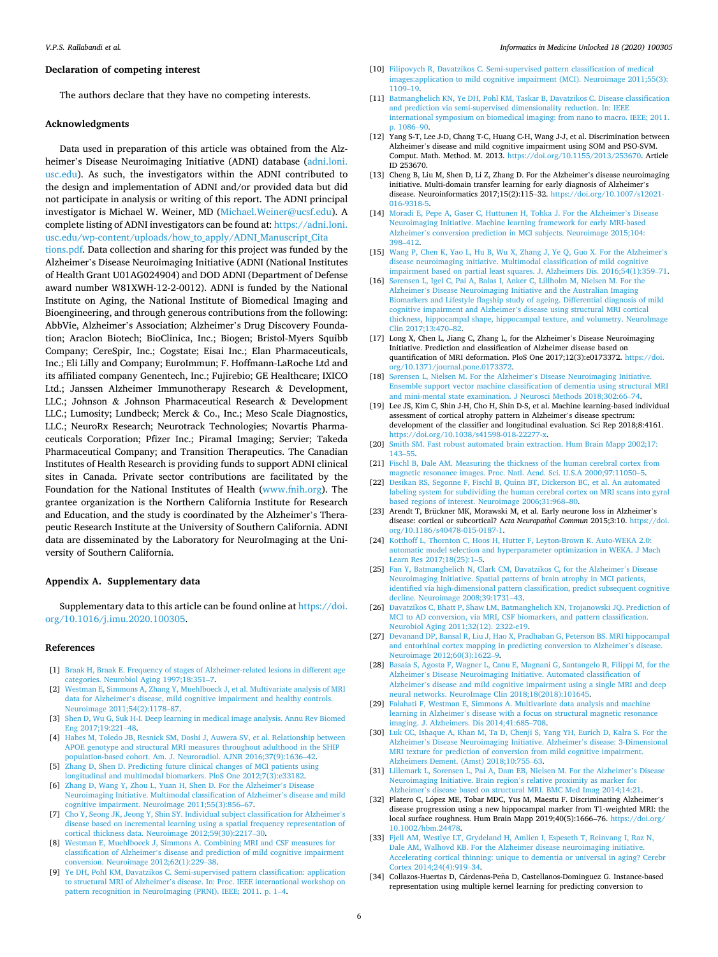## <span id="page-5-0"></span>**Declaration of competing interest**

The authors declare that they have no competing interests.

#### **Acknowledgments**

Data used in preparation of this article was obtained from the Alzheimer's Disease Neuroimaging Initiative (ADNI) database [\(adni.loni.](http://adni.loni.usc.edu)  [usc.edu](http://adni.loni.usc.edu)). As such, the investigators within the ADNI contributed to the design and implementation of ADNI and/or provided data but did not participate in analysis or writing of this report. The ADNI principal investigator is Michael W. Weiner, MD ([Michael.Weiner@ucsf.edu](mailto:Michael.Weiner@ucsf.edu)). A complete listing of ADNI investigators can be found at: [https://adni.loni.](https://adni.loni.usc.edu/wp-content/uploads/how_to_apply/ADNI_Manuscript_Citations.pdf)  [usc.edu/wp-content/uploads/how\\_to\\_apply/ADNI\\_Manuscript\\_Cita](https://adni.loni.usc.edu/wp-content/uploads/how_to_apply/ADNI_Manuscript_Citations.pdf) [tions.pdf.](https://adni.loni.usc.edu/wp-content/uploads/how_to_apply/ADNI_Manuscript_Citations.pdf) Data collection and sharing for this project was funded by the Alzheimer's Disease Neuroimaging Initiative (ADNI (National Institutes

of Health Grant U01AG024904) and DOD ADNI (Department of Defense award number W81XWH-12-2-0012). ADNI is funded by the National Institute on Aging, the National Institute of Biomedical Imaging and Bioengineering, and through generous contributions from the following: AbbVie, Alzheimer's Association; Alzheimer's Drug Discovery Foundation; Araclon Biotech; BioClinica, Inc.; Biogen; Bristol-Myers Squibb Company; CereSpir, Inc.; Cogstate; Eisai Inc.; Elan Pharmaceuticals, Inc.; Eli Lilly and Company; EuroImmun; F. Hoffmann-LaRoche Ltd and its affiliated company Genentech, Inc.; Fujirebio; GE Healthcare; IXICO Ltd.; Janssen Alzheimer Immunotherapy Research & Development, LLC.; Johnson & Johnson Pharmaceutical Research & Development LLC.; Lumosity; Lundbeck; Merck & Co., Inc.; Meso Scale Diagnostics, LLC.; NeuroRx Research; Neurotrack Technologies; Novartis Pharmaceuticals Corporation; Pfizer Inc.; Piramal Imaging; Servier; Takeda Pharmaceutical Company; and Transition Therapeutics. The Canadian Institutes of Health Research is providing funds to support ADNI clinical sites in Canada. Private sector contributions are facilitated by the Foundation for the National Institutes of Health ([www.fnih.org\)](http://www.fnih.org). The grantee organization is the Northern California Institute for Research and Education, and the study is coordinated by the Alzheimer's Therapeutic Research Institute at the University of Southern California. ADNI data are disseminated by the Laboratory for NeuroImaging at the University of Southern California.

# **Appendix A. Supplementary data**

Supplementary data to this article can be found online at [https://doi.](https://doi.org/10.1016/j.imu.2020.100305)  [org/10.1016/j.imu.2020.100305.](https://doi.org/10.1016/j.imu.2020.100305)

#### **References**

- [1] [Braak H, Braak E. Frequency of stages of Alzheimer-related lesions in different age](http://refhub.elsevier.com/S2352-9148(19)30376-4/sref1)  [categories. Neurobiol Aging 1997;18:351](http://refhub.elsevier.com/S2352-9148(19)30376-4/sref1)–7.
- [2] [Westman E, Simmons A, Zhang Y, Muehlboeck J, et al. Multivariate analysis of MRI](http://refhub.elsevier.com/S2352-9148(19)30376-4/sref2)  data for Alzheimer'[s disease, mild cognitive impairment and healthy controls.](http://refhub.elsevier.com/S2352-9148(19)30376-4/sref2) [Neuroimage 2011;54\(2\):1178](http://refhub.elsevier.com/S2352-9148(19)30376-4/sref2)–87.
- [3] [Shen D, Wu G, Suk H-I. Deep learning in medical image analysis. Annu Rev Biomed](http://refhub.elsevier.com/S2352-9148(19)30376-4/sref3)  [Eng 2017;19:221](http://refhub.elsevier.com/S2352-9148(19)30376-4/sref3)–48.
- [4] [Habes M, Toledo JB, Resnick SM, Doshi J, Auwera SV, et al. Relationship between](http://refhub.elsevier.com/S2352-9148(19)30376-4/sref4)  [APOE genotype and structural MRI measures throughout adulthood in the SHIP](http://refhub.elsevier.com/S2352-9148(19)30376-4/sref4)  [population-based cohort. Am. J. Neuroradiol. AJNR 2016;37\(9\):1636](http://refhub.elsevier.com/S2352-9148(19)30376-4/sref4)–42.
- [5] [Zhang D, Shen D. Predicting future clinical changes of MCI patients using](http://refhub.elsevier.com/S2352-9148(19)30376-4/sref5)  [longitudinal and multimodal biomarkers. PloS One 2012;7\(3\):e33182](http://refhub.elsevier.com/S2352-9148(19)30376-4/sref5).
- [6] [Zhang D, Wang Y, Zhou L, Yuan H, Shen D. For the Alzheimer](http://refhub.elsevier.com/S2352-9148(19)30376-4/sref6)'s Disease [Neuroimaging Initiative. Multimodal classification of Alzheimer](http://refhub.elsevier.com/S2352-9148(19)30376-4/sref6)'s disease and mild [cognitive impairment. Neuroimage 2011;55\(3\):856](http://refhub.elsevier.com/S2352-9148(19)30376-4/sref6)–67.
- [7] [Cho Y, Seong JK, Jeong Y, Shin SY. Individual subject classification for Alzheimer](http://refhub.elsevier.com/S2352-9148(19)30376-4/sref7)'s [disease based on incremental learning using a spatial frequency representation of](http://refhub.elsevier.com/S2352-9148(19)30376-4/sref7) [cortical thickness data. Neuroimage 2012;59\(30\):2217](http://refhub.elsevier.com/S2352-9148(19)30376-4/sref7)–30.
- [8] [Westman E, Muehlboeck J, Simmons A. Combining MRI and CSF measures for](http://refhub.elsevier.com/S2352-9148(19)30376-4/sref8) classification of Alzheimer'[s disease and prediction of mild cognitive impairment](http://refhub.elsevier.com/S2352-9148(19)30376-4/sref8) [conversion. Neuroimage 2012;62\(1\):229](http://refhub.elsevier.com/S2352-9148(19)30376-4/sref8)–38.
- [9] [Ye DH, Pohl KM, Davatzikos C. Semi-supervised pattern classification: application](http://refhub.elsevier.com/S2352-9148(19)30376-4/sref9)  to structural MRI of Alzheimer'[s disease. In: Proc. IEEE international workshop on](http://refhub.elsevier.com/S2352-9148(19)30376-4/sref9)  [pattern recognition in NeuroImaging \(PRNI\). IEEE; 2011. p. 1](http://refhub.elsevier.com/S2352-9148(19)30376-4/sref9)–4.
- [10] [Filipovych R, Davatzikos C. Semi-supervised pattern classification of medical](http://refhub.elsevier.com/S2352-9148(19)30376-4/sref10)  [images:application to mild cognitive impairment \(MCI\). Neuroimage 2011;55\(3\):](http://refhub.elsevier.com/S2352-9148(19)30376-4/sref10) [1109](http://refhub.elsevier.com/S2352-9148(19)30376-4/sref10)–19.
- [11] [Batmanghelich KN, Ye DH, Pohl KM, Taskar B, Davatzikos C. Disease classification](http://refhub.elsevier.com/S2352-9148(19)30376-4/sref11)  [and prediction via semi-supervised dimensionality reduction. In: IEEE](http://refhub.elsevier.com/S2352-9148(19)30376-4/sref11) [international symposium on biomedical imaging: from nano to macro. IEEE; 2011.](http://refhub.elsevier.com/S2352-9148(19)30376-4/sref11)   $0.1086 - 90.$
- [12] Yang S-T, Lee J-D, Chang T-C, Huang C-H, Wang J-J, et al. Discrimination between Alzheimer's disease and mild cognitive impairment using SOM and PSO-SVM. Comput. Math. Method. M. 2013. [https://doi.org/10.1155/2013/253670.](https://doi.org/10.1155/2013/253670) Article ID 253670.
- [13] Cheng B, Liu M, Shen D, Li Z, Zhang D. For the Alzheimer's disease neuroimaging initiative. Multi-domain transfer learning for early diagnosis of Alzheimer's disease. Neuroinformatics 2017;15(2):115–32. [https://doi.org/10.1007/s12021-](https://doi.org/10.1007/s12021-016-9318-5) [016-9318-5.](https://doi.org/10.1007/s12021-016-9318-5)
- [14] [Moradi E, Pepe A, Gaser C, Huttunen H, Tohka J. For the Alzheimer](http://refhub.elsevier.com/S2352-9148(19)30376-4/sref14)'s Disease [Neuroimaging Initiative. Machine learning framework for early MRI-based](http://refhub.elsevier.com/S2352-9148(19)30376-4/sref14)  Alzheimer'[s conversion prediction in MCI subjects. Neuroimage 2015;104:](http://refhub.elsevier.com/S2352-9148(19)30376-4/sref14)  398–[412.](http://refhub.elsevier.com/S2352-9148(19)30376-4/sref14)
- [15] [Wang P, Chen K, Yao L, Hu B, Wu X, Zhang J, Ye Q, Guo X. For the Alzheimer](http://refhub.elsevier.com/S2352-9148(19)30376-4/sref15)'s [disease neuroimaging initiative. Multimodal classification of mild cognitive](http://refhub.elsevier.com/S2352-9148(19)30376-4/sref15) [impairment based on partial least squares. J. Alzheimers Dis. 2016;54\(1\):359](http://refhub.elsevier.com/S2352-9148(19)30376-4/sref15)–71.
- [16] Sø[rensen L, Igel C, Pai A, Balas I, Anker C, Lillholm M, Nielsen M. For the](http://refhub.elsevier.com/S2352-9148(19)30376-4/sref16) Alzheimer'[s Disease Neuroimaging Initiative and the Australian Imaging](http://refhub.elsevier.com/S2352-9148(19)30376-4/sref16)  [Biomarkers and Lifestyle flagship study of ageing. Differential diagnosis of mild](http://refhub.elsevier.com/S2352-9148(19)30376-4/sref16)  cognitive impairment and Alzheimer'[s disease using structural MRI cortical](http://refhub.elsevier.com/S2352-9148(19)30376-4/sref16) [thickness, hippocampal shape, hippocampal texture, and volumetry. NeuroImage](http://refhub.elsevier.com/S2352-9148(19)30376-4/sref16) [Clin 2017;13:470](http://refhub.elsevier.com/S2352-9148(19)30376-4/sref16)–82.
- [17] Long X, Chen L, Jiang C, Zhang L, for the Alzheimer's Disease Neuroimaging Initiative. Prediction and classification of Alzheimer disease based on quantification of MRI deformation. PloS One 2017;12(3):e0173372. [https://doi.](https://doi.org/10.1371/journal.pone.0173372)  [org/10.1371/journal.pone.0173372.](https://doi.org/10.1371/journal.pone.0173372)
- [18] Sø[rensen L, Nielsen M. For the Alzheimer](http://refhub.elsevier.com/S2352-9148(19)30376-4/sref18)'s Disease Neuroimaging Initiative. [Ensemble support vector machine classification of dementia using structural MRI](http://refhub.elsevier.com/S2352-9148(19)30376-4/sref18)  [and mini-mental state examination. J Neurosci Methods 2018;302:66](http://refhub.elsevier.com/S2352-9148(19)30376-4/sref18)–74.
- [19] Lee JS, Kim C, Shin J-H, Cho H, Shin D-S, et al. Machine learning-based individual assessment of cortical atrophy pattern in Alzheimer's disease spectrum: development of the classifier and longitudinal evaluation. Sci Rep 2018;8:4161. [https://doi.org/10.1038/s41598-018-22277-x.](https://doi.org/10.1038/s41598-018-22277-x)
- [20] Smith SM. Fast robust automated brain extraction. Hum Brain Mapp 2002;17: [143](http://refhub.elsevier.com/S2352-9148(19)30376-4/sref20)–55.
- [21] [Fischl B, Dale AM. Measuring the thickness of the human cerebral cortex from](http://refhub.elsevier.com/S2352-9148(19)30376-4/sref21) [magnetic resonance images. Proc. Natl. Acad. Sci. U.S.A 2000;97:11050](http://refhub.elsevier.com/S2352-9148(19)30376-4/sref21)–5.
- [22] [Desikan RS, Segonne F, Fischl B, Quinn BT, Dickerson BC, et al. An automated](http://refhub.elsevier.com/S2352-9148(19)30376-4/sref22) [labeling system for subdividing the human cerebral cortex on MRI scans into gyral](http://refhub.elsevier.com/S2352-9148(19)30376-4/sref22)  [based regions of interest. Neuroimage 2006;31:968](http://refhub.elsevier.com/S2352-9148(19)30376-4/sref22)–80.
- [23] Arendt T, Brückner MK, Morawski M, et al. Early neurone loss in Alzheimer's disease: cortical or subcortical? A*cta Neuropathol Commun* 2015;3:10. [https://doi.](https://doi.org/10.1186/s40478-015-0187-1)  [org/10.1186/s40478-015-0187-1](https://doi.org/10.1186/s40478-015-0187-1).
- [24] [Kotthoff L, Thornton C, Hoos H, Hutter F, Leyton-Brown K. Auto-WEKA 2.0:](http://refhub.elsevier.com/S2352-9148(19)30376-4/sref24) [automatic model selection and hyperparameter optimization in WEKA. J Mach](http://refhub.elsevier.com/S2352-9148(19)30376-4/sref24) [Learn Res 2017;18\(25\):1](http://refhub.elsevier.com/S2352-9148(19)30376-4/sref24)–5.
- [25] [Fan Y, Batmanghelich N, Clark CM, Davatzikos C, for the Alzheimer](http://refhub.elsevier.com/S2352-9148(19)30376-4/sref25)'s Disease [Neuroimaging Initiative. Spatial patterns of brain atrophy in MCI patients,](http://refhub.elsevier.com/S2352-9148(19)30376-4/sref25)  [identified via high-dimensional pattern classification, predict subsequent cognitive](http://refhub.elsevier.com/S2352-9148(19)30376-4/sref25)  [decline. Neuroimage 2008;39:1731](http://refhub.elsevier.com/S2352-9148(19)30376-4/sref25)–43.
- [26] [Davatzikos C, Bhatt P, Shaw LM, Batmanghelich KN, Trojanowski JQ. Prediction of](http://refhub.elsevier.com/S2352-9148(19)30376-4/sref26)  [MCI to AD conversion, via MRI, CSF biomarkers, and pattern classification.](http://refhub.elsevier.com/S2352-9148(19)30376-4/sref26) [Neurobiol Aging 2011;32\(12\). 2322-e19](http://refhub.elsevier.com/S2352-9148(19)30376-4/sref26).
- [27] [Devanand DP, Bansal R, Liu J, Hao X, Pradhaban G, Peterson BS. MRI hippocampal](http://refhub.elsevier.com/S2352-9148(19)30376-4/sref27)  [and entorhinal cortex mapping in predicting conversion to Alzheimer](http://refhub.elsevier.com/S2352-9148(19)30376-4/sref27)'s disease. [Neuroimage 2012;60\(3\):1622](http://refhub.elsevier.com/S2352-9148(19)30376-4/sref27)–9.
- [28] [Basaia S, Agosta F, Wagner L, Canu E, Magnani G, Santangelo R, Filippi M, for the](http://refhub.elsevier.com/S2352-9148(19)30376-4/sref28)  Alzheimer'[s Disease Neuroimaging Initiative. Automated classification of](http://refhub.elsevier.com/S2352-9148(19)30376-4/sref28) Alzheimer'[s disease and mild cognitive impairment using a single MRI and deep](http://refhub.elsevier.com/S2352-9148(19)30376-4/sref28)  [neural networks. NeuroImage Clin 2018;18\(2018\):101645](http://refhub.elsevier.com/S2352-9148(19)30376-4/sref28).
- [29] [Falahati F, Westman E, Simmons A. Multivariate data analysis and machine](http://refhub.elsevier.com/S2352-9148(19)30376-4/sref29)  learning in Alzheimer'[s disease with a focus on structural magnetic resonance](http://refhub.elsevier.com/S2352-9148(19)30376-4/sref29)  [imaging. J. Alzheimers. Dis 2014;41:685](http://refhub.elsevier.com/S2352-9148(19)30376-4/sref29)–708.
- [30] [Luk CC, Ishaque A, Khan M, Ta D, Chenji S, Yang YH, Eurich D, Kalra S. For the](http://refhub.elsevier.com/S2352-9148(19)30376-4/sref30)  Alzheimer'[s Disease Neuroimaging Initiative. Alzheimer](http://refhub.elsevier.com/S2352-9148(19)30376-4/sref30)'s disease: 3-Dimensional [MRI texture for prediction of conversion from mild cognitive impairment.](http://refhub.elsevier.com/S2352-9148(19)30376-4/sref30) [Alzheimers Dement. \(Amst\) 2018;10:755](http://refhub.elsevier.com/S2352-9148(19)30376-4/sref30)–63.
- [31] [Lillemark L, Sorensen L, Pai A, Dam EB, Nielsen M. For the Alzheimer](http://refhub.elsevier.com/S2352-9148(19)30376-4/sref31)'s Disease [Neuroimaging Initiative. Brain region](http://refhub.elsevier.com/S2352-9148(19)30376-4/sref31)'s relative proximity as marker for Alzheimer'[s disease based on structural MRI. BMC Med Imag 2014;14:21](http://refhub.elsevier.com/S2352-9148(19)30376-4/sref31).
- [32] Platero C, López ME, Tobar MDC, Yus M, Maestu F. Discriminating Alzheimer's disease progression using a new hippocampal marker from T1-weighted MRI: the local surface roughness. Hum Brain Mapp 2019;40(5):1666–76. [https://doi.org/](https://doi.org/10.1002/hbm.24478) [10.1002/hbm.24478.](https://doi.org/10.1002/hbm.24478)
- [33] [Fjell AM, Westlye LT, Grydeland H, Amlien I, Espeseth T, Reinvang I, Raz N,](http://refhub.elsevier.com/S2352-9148(19)30376-4/sref33)  [Dale AM, Walhovd KB. For the Alzheimer disease neuroimaging initiative.](http://refhub.elsevier.com/S2352-9148(19)30376-4/sref33) [Accelerating cortical thinning: unique to dementia or universal in aging? Cerebr](http://refhub.elsevier.com/S2352-9148(19)30376-4/sref33) [Cortex 2014;24\(4\):919](http://refhub.elsevier.com/S2352-9148(19)30376-4/sref33)–34.
- [34] Collazos-Huertas D, Cárdenas-Peña D, Castellanos-Dominguez G. Instance-based representation using multiple kernel learning for predicting conversion to